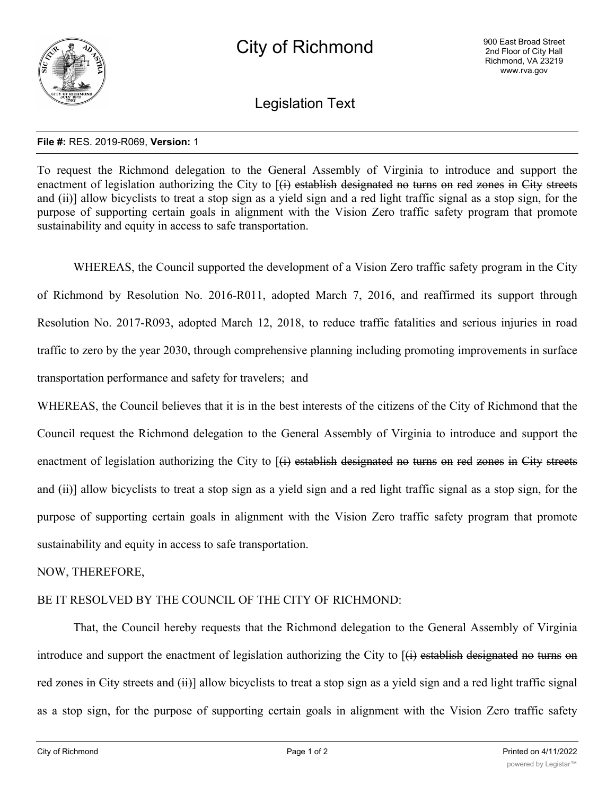

Legislation Text

## **File #:** RES. 2019-R069, **Version:** 1

To request the Richmond delegation to the General Assembly of Virginia to introduce and support the enactment of legislation authorizing the City to  $(\hat{H})$  establish designated no turns on red zones in City streets and (ii)] allow bicyclists to treat a stop sign as a yield sign and a red light traffic signal as a stop sign, for the purpose of supporting certain goals in alignment with the Vision Zero traffic safety program that promote sustainability and equity in access to safe transportation.

WHEREAS, the Council supported the development of a Vision Zero traffic safety program in the City of Richmond by Resolution No. 2016-R011, adopted March 7, 2016, and reaffirmed its support through Resolution No. 2017-R093, adopted March 12, 2018, to reduce traffic fatalities and serious injuries in road traffic to zero by the year 2030, through comprehensive planning including promoting improvements in surface transportation performance and safety for travelers; and

WHEREAS, the Council believes that it is in the best interests of the citizens of the City of Richmond that the Council request the Richmond delegation to the General Assembly of Virginia to introduce and support the enactment of legislation authorizing the City to [(i) establish designated no turns on red zones in City streets and (ii)] allow bicyclists to treat a stop sign as a yield sign and a red light traffic signal as a stop sign, for the purpose of supporting certain goals in alignment with the Vision Zero traffic safety program that promote sustainability and equity in access to safe transportation.

NOW, THEREFORE,

## BE IT RESOLVED BY THE COUNCIL OF THE CITY OF RICHMOND:

That, the Council hereby requests that the Richmond delegation to the General Assembly of Virginia introduce and support the enactment of legislation authorizing the City to  $(\hat{H})$  establish designated no turns on red zones in City streets and (ii)] allow bicyclists to treat a stop sign as a yield sign and a red light traffic signal as a stop sign, for the purpose of supporting certain goals in alignment with the Vision Zero traffic safety